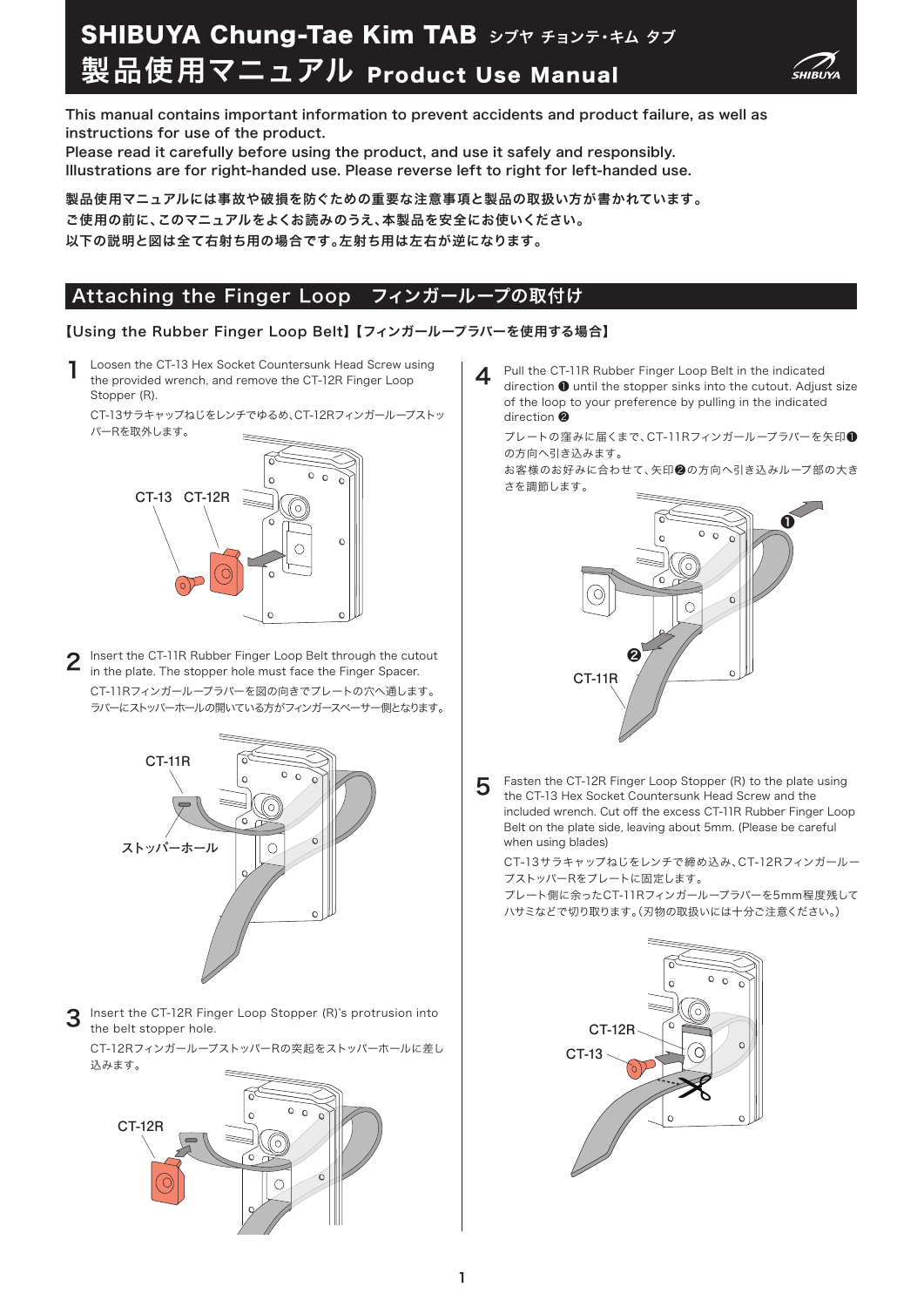# 製品使用マニュアル Product Use Manual SHIBUYA Chung-Tae Kim TAB シブヤ チョンテ・キム タブ



This manual contains important information to prevent accidents and product failure, as well as instructions for use of the product.

Please read it carefully before using the product, and use it safely and responsibly. Illustrations are for right-handed use. Please reverse left to right for left-handed use.

製品使用マニュアルには事故や破損を防ぐための重要な注意事項と製品の取扱い方が書かれています。 ご使用の前に、このマニュアルをよくお読みのうえ、本製品を安全にお使いください。 以下の説明と図は全て右射ち用の場合です。左射ち用は左右が逆になります。

## Attaching the Finger Loop フィンガーループの取付け

#### 【Using the Rubber Finger Loop Belt】 【フィンガーループラバーを使用する場合】

Loosen the CT-13 Hex Socket Countersunk Head Screw using the provided wrench, and remove the CT-12R Finger Loop Stopper (R). 1

CT-13サラキャップねじをレンチでゆるめ、CT-12Rフィンガーループストッ パーRを取外します。



Insert the CT-11R Rubber Finger Loop Belt through the cutout in the plate. The stopper hole must face the Finger Spacer. CT-11Rフィンガーループラバーを図の向きでプレートの穴へ通します。 ラバーにストッパーホールの開いている方がフィンガースペーサー側となります。 2



Insert the CT-12R Finger Loop Stopper (R)'s protrusion into the belt stopper hole. 3

CT-12RフィンガーループストッパーRの突起をストッパーホールに差し 込みます。



 $\,4\,$  Pull the CT-11R Rubber Finger Loop Belt in the indicated<br>direction  $\!\bullet$  until the stopper sinks into the cutout. Adius direction ❶ until the stopper sinks into the cutout. Adjust size of the loop to your preference by pulling in the indicated direction ❷

プレートの窪みに届くまで、CT-11Rフィンガーループラバーを矢印❶ の方向へ引き込みます。

お客様のお好みに合わせて、矢印❷の方向へ引き込みループ部の大き さを調節します。



Fasten the CT-12R Finger Loop Stopper (R) to the plate using the CT-13 Hex Socket Countersunk Head Screw and the included wrench. Cut off the excess CT-11R Rubber Finger Loop Belt on the plate side, leaving about 5mm. (Please be careful when using blades) 5

CT-13サラキャップねじをレンチで締め込み、CT-12Rフィンガールー プストッパーRをプレートに固定します。

プレート側に余ったCT-11Rフィンガーループラバーを5mm程度残して ハサミなどで切り取ります。(刃物の取扱いには十分ご注意ください。)

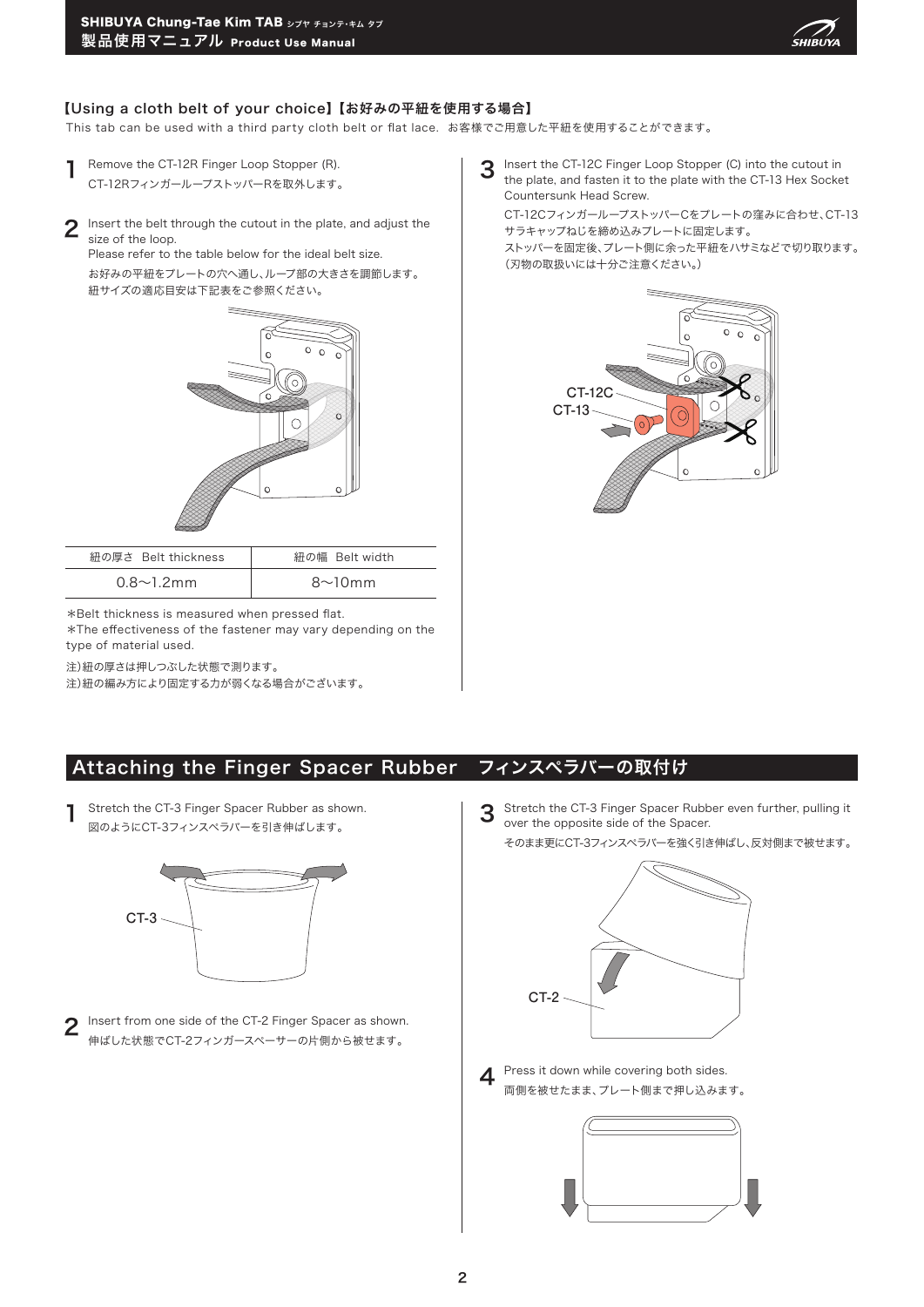

#### 【Using a cloth belt of your choice】 【お好みの平紐を使用する場合】

This tab can be used with a third party cloth belt or flat lace. お客様でご用意した平紐を使用することができます。

- Remove the CT-12R Finger Loop Stopper (R). CT-12RフィンガーループストッパーRを取外します。 1
- $2$  lnsert the belt through the cutout in the plate, and adjust the size of the loop. size of the loop.

Please refer to the table below for the ideal belt size. お好みの平紐をプレートの穴へ通し、ループ部の大きさを調節します。 紐サイズの適応目安は下記表をご参照ください。



| 紐の厚さ Belt thickness | 紐の幅 Belt width |
|---------------------|----------------|
| $0.8 \sim 1.2$ mm   | $8\sim10$ mm   |

\*Belt thickness is measured when pressed flat.

\*The effectiveness of the fastener may vary depending on the type of material used.

注)紐の厚さは押しつぶした状態で測ります。

注)紐の編み方により固定する力が弱くなる場合がございます。

3 Insert the CT-12C Finger Loop Stopper (C) into the cutout in<br>the plate, and fasten it to the plate with the CT-13 Hex Socke the plate, and fasten it to the plate with the CT-13 Hex Socket Countersunk Head Screw.

CT-12CフィンガーループストッパーCをプレートの窪みに合わせ、CT-13 サラキャップねじを締め込みプレートに固定します。 ストッパーを固定後、プレート側に余った平紐をハサミなどで切り取ります。 (刃物の取扱いには十分ご注意ください。)



### Attaching the Finger Spacer Rubber フィンスぺラバーの取付け

Stretch the CT-3 Finger Spacer Rubber as shown. 図のようにCT-3フィンスペラバーを引き伸ばします。 1



2 Insert from one side of the CT-2 Finger Spacer as shown.<br> $\sum_{\mu \in \mathbb{F}^2} \frac{1}{\mu} \sum_{\mu \in \mathbb{F}^2} \sum_{\mu \in \mathbb{F}^2} \sum_{\mu \in \mathbb{F}^2} \sum_{\mu \in \mathbb{F}^2} \sum_{\mu \in \mathbb{F}^2} \sum_{\mu \in \mathbb{F}^2} \sum_{\mu \in \mathbb{F}^2} \sum_{\mu \in \mathbb{F}^2} \sum_{\mu \in \math$ 伸ばした状態でCT-2フィンガースペーサーの片側から被せます。

Stretch the CT-3 Finger Spacer Rubber even further, pulling it over the opposite side of the Spacer. 3

そのまま更にCT-3フィンスペラバーを強く引き伸ばし、反対側まで被せます。



Press it down while covering both sides. 両側を被せたまま、プレート側まで押し込みます。 4

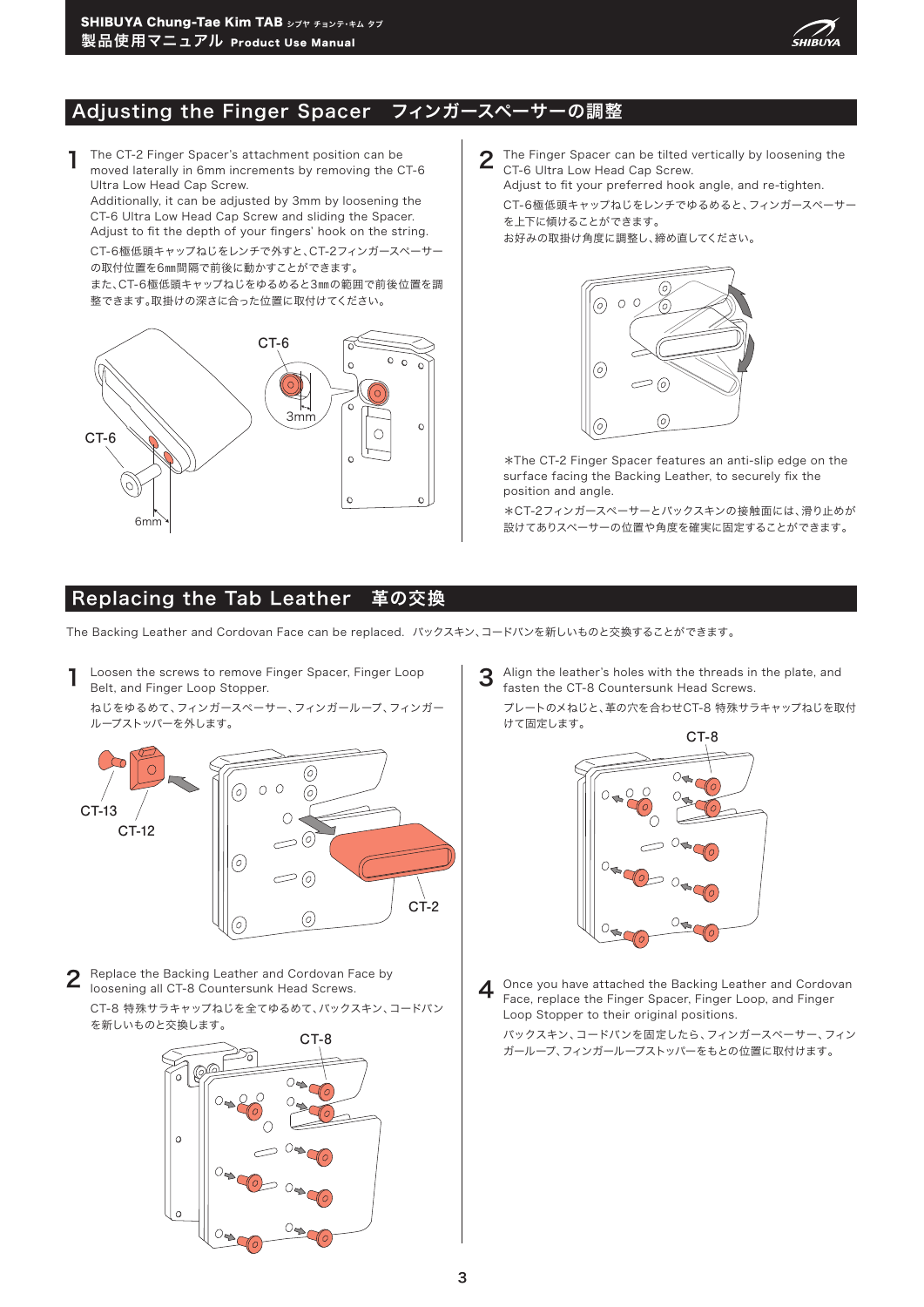

## Adjusting the Finger Spacer フィンガースペーサーの調整

1 The CT-2 Finger Spacer's attachment position can be moved laterally in 6mm increments by removing the CT-6 Ultra Low Head Cap Screw.

Additionally, it can be adjusted by 3mm by loosening the CT-6 Ultra Low Head Cap Screw and sliding the Spacer. Adjust to fit the depth of your fingers' hook on the string.

CT-6極低頭キャップねじをレンチで外すと、CT-2フィンガースペーサー の取付位置を6㎜間隔で前後に動かすことができます。

また、CT-6極低頭キャップねじをゆるめると3㎜の範囲で前後位置を調 整できます。取掛けの深さに合った位置に取付けてください。



#### Replacing the Tab Leather 革の交換

The Backing Leather and Cordovan Face can be replaced. バックスキン、コードバンを新しいものと交換することができます。

**1** Loosen the screws to remove Finger Spacer, Finger Loop Belt, and Finger Loop Stopper.

ねじをゆるめて、フィンガースペーサー、フィンガーループ、フィンガー ループストッパーを外します。



**2** Replace the Backing Leather and Cordovan Face by loosening all CT-8 Countersunk Head Screws. CT-8 特殊サラキャップねじを全てゆるめて、バックスキン、コードバン を新しいものと交換します。



3 Align the leather's holes with the threads in the plate, and fasten the CT-8 Countersunk Head Screws.

プレートのメねじと、革の穴を合わせCT-8 特殊サラキャップねじを取付 けて固定します。



4 Once you have attached the Backing Leather and Cordovan Face, replace the Finger Spacer, Finger Loop, and Finger Loop Stopper to their original positions.

バックスキン、コードバンを固定したら、フィンガースペーサー、フィン ガーループ、フィンガーループストッパーをもとの位置に取付けます。

2 The Finger Spacer can be tilted vertically by loosening the CT-6 Ultra Low Head Cap Screw. Adjust to fit your preferred hook angle, and re-tighten.

CT-6極低頭キャップねじをレンチでゆるめると、フィンガースペーサー を上下に傾けることができます。

お好みの取掛け角度に調整し、締め直してください。



\*The CT-2 Finger Spacer features an anti-slip edge on the surface facing the Backing Leather, to securely fix the position and angle.

\*CT-2フィンガースペーサーとバックスキンの接触面には、滑り止めが 設けてありスペーサーの位置や角度を確実に固定することができます。